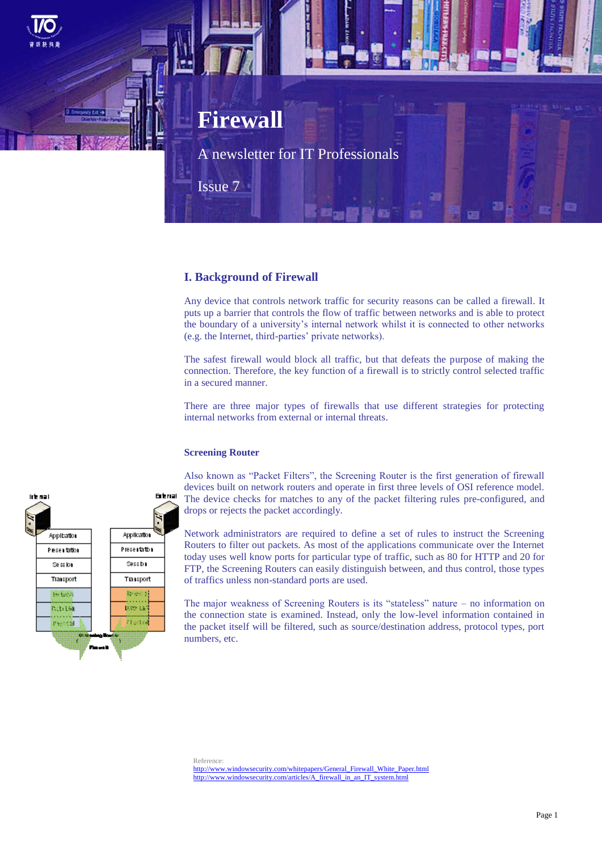

# **I. Background of Firewall**

Any device that controls network traffic for security reasons can be called a firewall. It puts up a barrier that controls the flow of traffic between networks and is able to protect the boundary of a university's internal network whilst it is connected to other networks (e.g. the Internet, third-parties' private networks).

The safest firewall would block all traffic, but that defeats the purpose of making the connection. Therefore, the key function of a firewall is to strictly control selected traffic in a secured manner.

There are three major types of firewalls that use different strategies for protecting internal networks from external or internal threats.

### **Screening Router**



Also known as "Packet Filters", the Screening Router is the first generation of firewall devices built on network routers and operate in first three levels of OSI reference model. The device checks for matches to any of the packet filtering rules pre-configured, and drops or rejects the packet accordingly.

Network administrators are required to define a set of rules to instruct the Screening Routers to filter out packets. As most of the applications communicate over the Internet today uses well know ports for particular type of traffic, such as 80 for HTTP and 20 for FTP, the Screening Routers can easily distinguish between, and thus control, those types of traffics unless non-standard ports are used.

The major weakness of Screening Routers is its "stateless" nature – no information on the connection state is examined. Instead, only the low-level information contained in the packet itself will be filtered, such as source/destination address, protocol types, port numbers, etc.

Reference: [http://www.windowsecurity.com/whitepapers/General\\_Firewall\\_White\\_Paper.html](http://www.windowsecurity.com/whitepapers/General_Firewall_White_Paper.html) [http://www.windowsecurity.com/articles/A\\_firewall\\_in\\_an\\_IT\\_system.html](http://www.windowsecurity.com/articles/A_firewall_in_an_IT_system.html)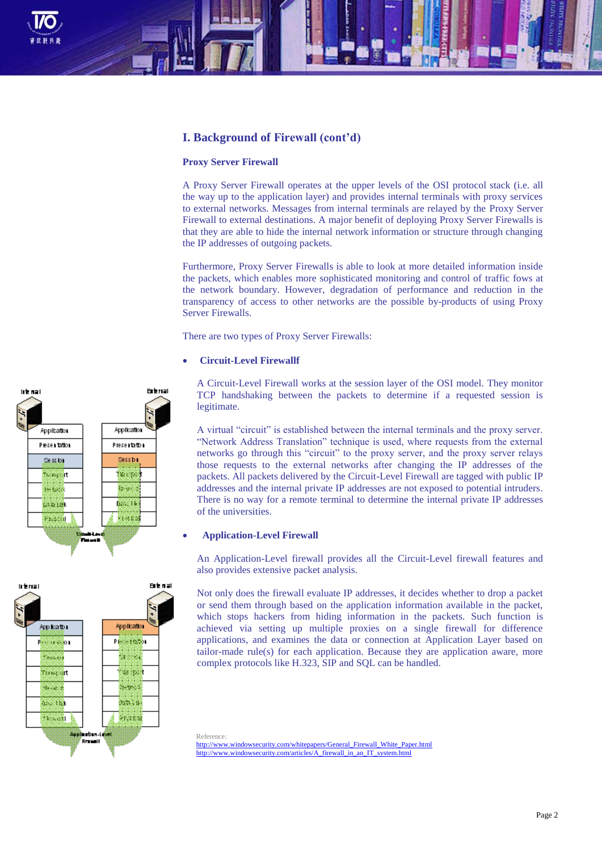

# **I. Background of Firewall (cont'd)**

#### **Proxy Server Firewall**

A Proxy Server Firewall operates at the upper levels of the OSI protocol stack (i.e. all the way up to the application layer) and provides internal terminals with proxy services to external networks. Messages from internal terminals are relayed by the Proxy Server Firewall to external destinations. A major benefit of deploying Proxy Server Firewalls is that they are able to hide the internal network information or structure through changing the IP addresses of outgoing packets.

Furthermore, Proxy Server Firewalls is able to look at more detailed information inside the packets, which enables more sophisticated monitoring and control of traffic fows at the network boundary. However, degradation of performance and reduction in the transparency of access to other networks are the possible by-products of using Proxy Server Firewalls.

There are two types of Proxy Server Firewalls:

### **Circuit-Level Firewallf**

A Circuit-Level Firewall works at the session layer of the OSI model. They monitor TCP handshaking between the packets to determine if a requested session is legitimate.

A virtual "circuit" is established between the internal terminals and the proxy server. "Network Address Translation" technique is used, where requests from the external networks go through this "circuit" to the proxy server, and the proxy server relays those requests to the external networks after changing the IP addresses of the packets. All packets delivered by the Circuit-Level Firewall are tagged with public IP addresses and the internal private IP addresses are not exposed to potential intruders. There is no way for a remote terminal to determine the internal private IP addresses of the universities.

#### **Application-Level Firewall**

An Application-Level firewall provides all the Circuit-Level firewall features and also provides extensive packet analysis.

Not only does the firewall evaluate IP addresses, it decides whether to drop a packet or send them through based on the application information available in the packet, which stops hackers from hiding information in the packets. Such function is achieved via setting up multiple proxies on a single firewall for difference applications, and examines the data or connection at Application Layer based on tailor-made rule(s) for each application. Because they are application aware, more complex protocols like H.323, SIP and SQL can be handled.

Reference: [http://www.windowsecurity.com/whitepapers/General\\_Firewall\\_White\\_Paper.html](http://www.windowsecurity.com/whitepapers/General_Firewall_White_Paper.html) [http://www.windowsecurity.com/articles/A\\_firewall\\_in\\_an\\_IT\\_system.html](http://www.windowsecurity.com/articles/A_firewall_in_an_IT_system.html)



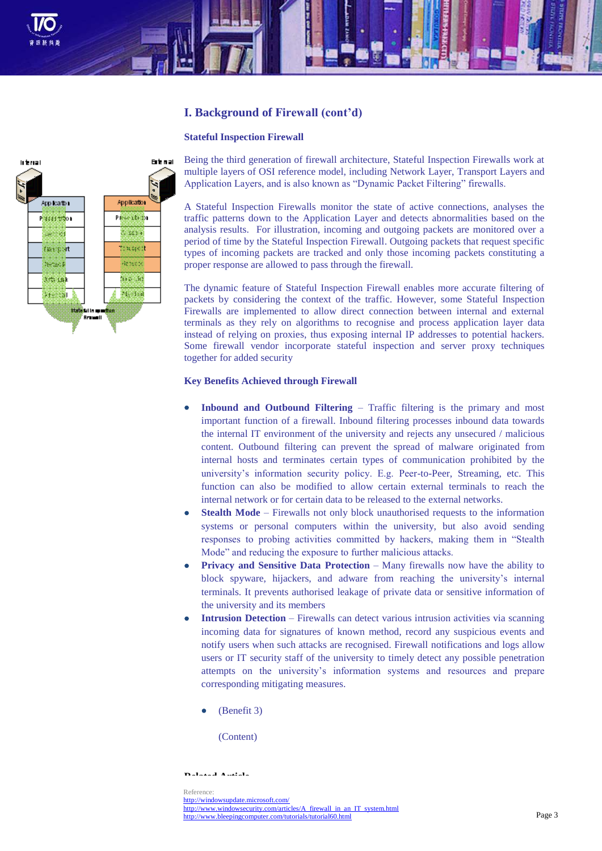

# **I. Background of Firewall (cont'd)**

### **Stateful Inspection Firewall**



Being the third generation of firewall architecture, Stateful Inspection Firewalls work at multiple layers of OSI reference model, including Network Layer, Transport Layers and Application Layers, and is also known as "Dynamic Packet Filtering" firewalls.

A Stateful Inspection Firewalls monitor the state of active connections, analyses the traffic patterns down to the Application Layer and detects abnormalities based on the analysis results. For illustration, incoming and outgoing packets are monitored over a period of time by the Stateful Inspection Firewall. Outgoing packets that request specific types of incoming packets are tracked and only those incoming packets constituting a proper response are allowed to pass through the firewall.

The dynamic feature of Stateful Inspection Firewall enables more accurate filtering of packets by considering the context of the traffic. However, some Stateful Inspection Firewalls are implemented to allow direct connection between internal and external terminals as they rely on algorithms to recognise and process application layer data instead of relying on proxies, thus exposing internal IP addresses to potential hackers. Some firewall vendor incorporate stateful inspection and server proxy techniques together for added security

## **Key Benefits Achieved through Firewall**

- **Inbound and Outbound Filtering**  Traffic filtering is the primary and most important function of a firewall. Inbound filtering processes inbound data towards the internal IT environment of the university and rejects any unsecured / malicious content. Outbound filtering can prevent the spread of malware originated from internal hosts and terminates certain types of communication prohibited by the university's information security policy. E.g. Peer-to-Peer, Streaming, etc. This function can also be modified to allow certain external terminals to reach the internal network or for certain data to be released to the external networks.
- **Stealth Mode** Firewalls not only block unauthorised requests to the information systems or personal computers within the university, but also avoid sending responses to probing activities committed by hackers, making them in "Stealth Mode" and reducing the exposure to further malicious attacks.
- **Privacy and Sensitive Data Protection** Many firewalls now have the ability to block spyware, hijackers, and adware from reaching the university's internal terminals. It prevents authorised leakage of private data or sensitive information of the university and its members
- **Intrusion Detection** Firewalls can detect various intrusion activities via scanning incoming data for signatures of known method, record any suspicious events and notify users when such attacks are recognised. Firewall notifications and logs allow users or IT security staff of the university to timely detect any possible penetration attempts on the university's information systems and resources and prepare corresponding mitigating measures.

(Benefit 3)

(Content)

**Related Article**

**(Title)** <http://windowsupdate.microsoft.com/> Reference: [http://www.windowsecurity.com/articles/A\\_firewall\\_in\\_an\\_IT\\_system.html](http://www.windowsecurity.com/articles/A_firewall_in_an_IT_system.html) <http://www.bleepingcomputer.com/tutorials/tutorial60.html>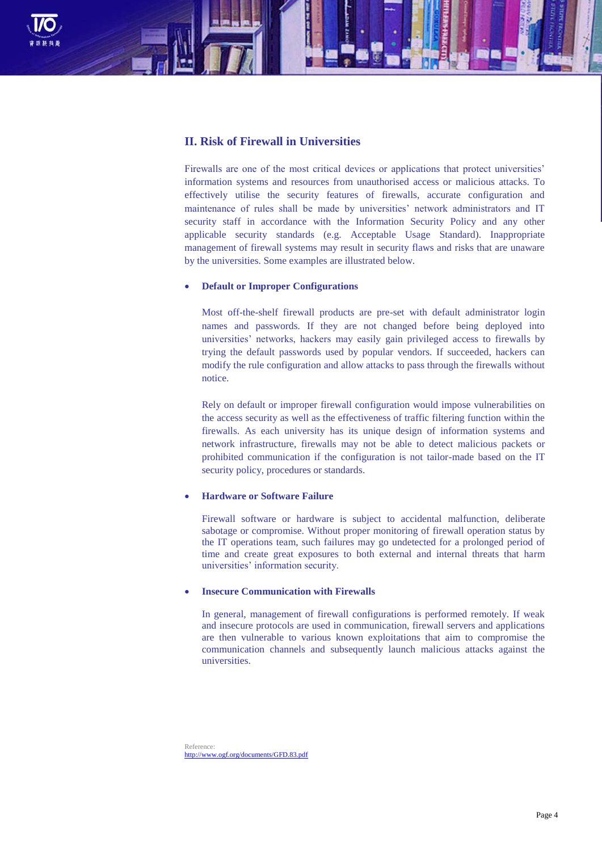

## **II. Risk of Firewall in Universities**

Firewalls are one of the most critical devices or applications that protect universities' information systems and resources from unauthorised access or malicious attacks. To effectively utilise the security features of firewalls, accurate configuration and maintenance of rules shall be made by universities' network administrators and IT security staff in accordance with the Information Security Policy and any other applicable security standards (e.g. Acceptable Usage Standard). Inappropriate management of firewall systems may result in security flaws and risks that are unaware by the universities. Some examples are illustrated below.

## **Default or Improper Configurations**

Most off-the-shelf firewall products are pre-set with default administrator login names and passwords. If they are not changed before being deployed into universities' networks, hackers may easily gain privileged access to firewalls by trying the default passwords used by popular vendors. If succeeded, hackers can modify the rule configuration and allow attacks to pass through the firewalls without notice.

Rely on default or improper firewall configuration would impose vulnerabilities on the access security as well as the effectiveness of traffic filtering function within the firewalls. As each university has its unique design of information systems and network infrastructure, firewalls may not be able to detect malicious packets or prohibited communication if the configuration is not tailor-made based on the IT security policy, procedures or standards.

## **Hardware or Software Failure**

Firewall software or hardware is subject to accidental malfunction, deliberate sabotage or compromise. Without proper monitoring of firewall operation status by the IT operations team, such failures may go undetected for a prolonged period of time and create great exposures to both external and internal threats that harm universities' information security.

## **Insecure Communication with Firewalls**

In general, management of firewall configurations is performed remotely. If weak and insecure protocols are used in communication, firewall servers and applications are then vulnerable to various known exploitations that aim to compromise the communication channels and subsequently launch malicious attacks against the universities.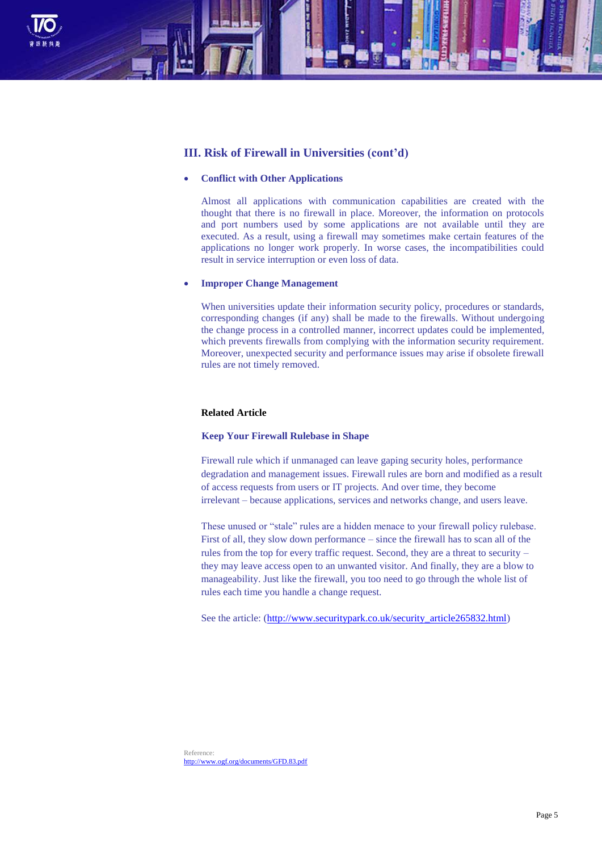

# **III. Risk of Firewall in Universities (cont'd)**

### **Conflict with Other Applications**

Almost all applications with communication capabilities are created with the thought that there is no firewall in place. Moreover, the information on protocols and port numbers used by some applications are not available until they are executed. As a result, using a firewall may sometimes make certain features of the applications no longer work properly. In worse cases, the incompatibilities could result in service interruption or even loss of data.

### **Improper Change Management**

When universities update their information security policy, procedures or standards, corresponding changes (if any) shall be made to the firewalls. Without undergoing the change process in a controlled manner, incorrect updates could be implemented, which prevents firewalls from complying with the information security requirement. Moreover, unexpected security and performance issues may arise if obsolete firewall rules are not timely removed.

## **Related Article**

### **Keep Your Firewall Rulebase in Shape**

Firewall rule which if unmanaged can leave gaping security holes, performance degradation and management issues. Firewall rules are born and modified as a result of access requests from users or IT projects. And over time, they become irrelevant – because applications, services and networks change, and users leave.

These unused or "stale" rules are a hidden menace to your firewall policy rulebase. First of all, they slow down performance – since the firewall has to scan all of the rules from the top for every traffic request. Second, they are a threat to security – they may leave access open to an unwanted visitor. And finally, they are a blow to manageability. Just like the firewall, you too need to go through the whole list of rules each time you handle a change request.

See the article: [\(http://www.securitypark.co.uk/security\\_article265832.html\)](http://www.securitypark.co.uk/security_article265832.html)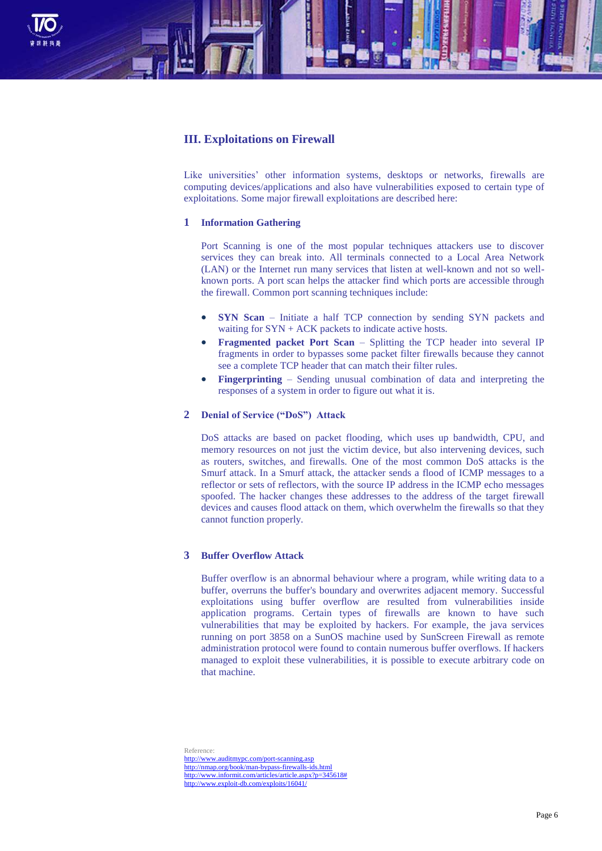

# **III. Exploitations on Firewall**

Like universities' other information systems, desktops or networks, firewalls are computing devices/applications and also have vulnerabilities exposed to certain type of exploitations. Some major firewall exploitations are described here:

### **1 Information Gathering**

Port Scanning is one of the most popular techniques attackers use to discover services they can break into. All terminals connected to a Local Area Network (LAN) or the Internet run many services that listen at well-known and not so wellknown ports. A port scan helps the attacker find which ports are accessible through the firewall. Common port scanning techniques include:

- **SYN Scan** Initiate a half TCP connection by sending SYN packets and waiting for SYN + ACK packets to indicate active hosts.
- **Fragmented packet Port Scan**  Splitting the TCP header into several IP fragments in order to bypasses some packet filter firewalls because they cannot see a complete TCP header that can match their filter rules.
- **Fingerprinting** Sending unusual combination of data and interpreting the responses of a system in order to figure out what it is.

## **2 Denial of Service ("DoS") Attack**

DoS attacks are based on packet flooding, which uses up bandwidth, CPU, and memory resources on not just the victim device, but also intervening devices, such as routers, switches, and firewalls. One of the most common DoS attacks is the Smurf attack. In a Smurf attack, the attacker sends a flood of ICMP messages to a reflector or sets of reflectors, with the source IP address in the ICMP echo messages spoofed. The hacker changes these addresses to the address of the target firewall devices and causes flood attack on them, which overwhelm the firewalls so that they cannot function properly.

### **3 Buffer Overflow Attack**

Buffer overflow is an abnormal behaviour where a program, while writing data to a buffer, overruns the buffer's boundary and overwrites adjacent memory. Successful exploitations using buffer overflow are resulted from vulnerabilities inside application programs. Certain types of firewalls are known to have such vulnerabilities that may be exploited by hackers. For example, the java services running on port 3858 on a SunOS machine used by SunScreen Firewall as remote administration protocol were found to contain numerous buffer overflows. If hackers managed to exploit these vulnerabilities, it is possible to execute arbitrary code on that machine.

Reference: http://www.auditmypc.com/port<http://nmap.org/book/man-bypass-firewalls-ids.html> [http://www.informit.com/articles/article.aspx?p=345618#](http://www.informit.com/articles/article.aspx?p=345618%23) <http://www.exploit-db.com/exploits/16041/>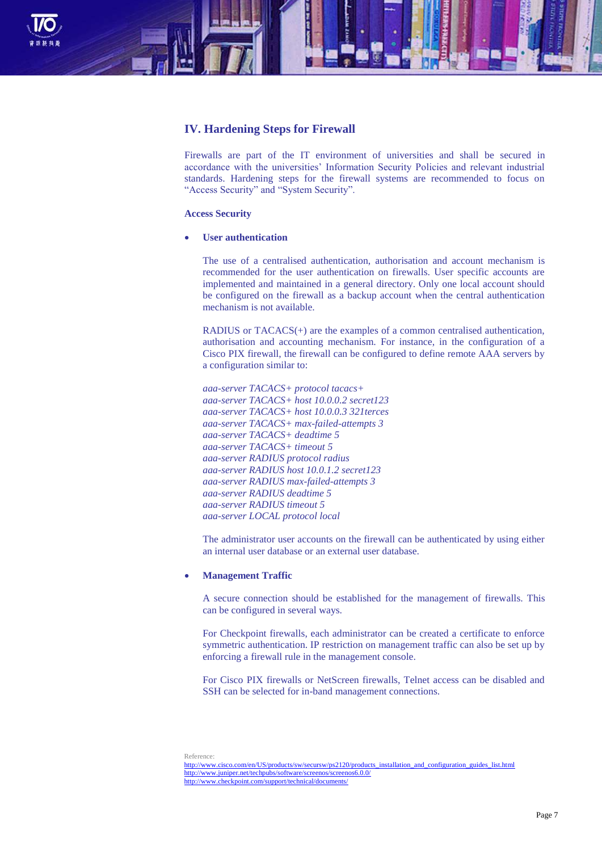

# **IV. Hardening Steps for Firewall**

Firewalls are part of the IT environment of universities and shall be secured in accordance with the universities' Information Security Policies and relevant industrial standards. Hardening steps for the firewall systems are recommended to focus on "Access Security" and "System Security".

### **Access Security**

**User authentication**

The use of a centralised authentication, authorisation and account mechanism is recommended for the user authentication on firewalls. User specific accounts are implemented and maintained in a general directory. Only one local account should be configured on the firewall as a backup account when the central authentication mechanism is not available.

RADIUS or TACACS(+) are the examples of a common centralised authentication, authorisation and accounting mechanism. For instance, in the configuration of a Cisco PIX firewall, the firewall can be configured to define remote AAA servers by a configuration similar to:

*aaa-server TACACS+ protocol tacacs+ aaa-server TACACS+ host 10.0.0.2 secret123 aaa-server TACACS+ host 10.0.0.3 321terces aaa-server TACACS+ max-failed-attempts 3 aaa-server TACACS+ deadtime 5 aaa-server TACACS+ timeout 5 aaa-server RADIUS protocol radius aaa-server RADIUS host 10.0.1.2 secret123 aaa-server RADIUS max-failed-attempts 3 aaa-server RADIUS deadtime 5 aaa-server RADIUS timeout 5 aaa-server LOCAL protocol local*

The administrator user accounts on the firewall can be authenticated by using either an internal user database or an external user database.

#### **Management Traffic**

A secure connection should be established for the management of firewalls. This can be configured in several ways.

For Checkpoint firewalls, each administrator can be created a certificate to enforce symmetric authentication. IP restriction on management traffic can also be set up by enforcing a firewall rule in the management console.

For Cisco PIX firewalls or NetScreen firewalls, Telnet access can be disabled and SSH can be selected for in-band management connections.

Reference:

[http://www.cisco.com/en/US/products/sw/secursw/ps2120/products\\_installation\\_and\\_configuration\\_guides\\_list.html](http://www.cisco.com/en/US/products/sw/secursw/ps2120/products_installation_and_configuration_guides_list.html) <http://www.juniper.net/techpubs/software/screenos/screenos6.0.0/> <http://www.checkpoint.com/support/technical/documents/>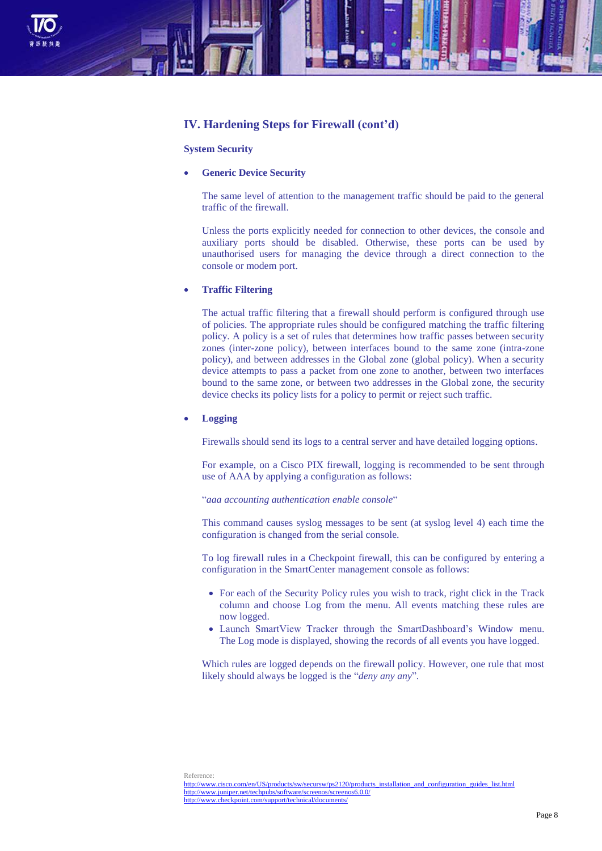

## **IV. Hardening Steps for Firewall (cont'd)**

### **System Security**

## **Generic Device Security**

The same level of attention to the management traffic should be paid to the general traffic of the firewall.

Unless the ports explicitly needed for connection to other devices, the console and auxiliary ports should be disabled. Otherwise, these ports can be used by unauthorised users for managing the device through a direct connection to the console or modem port.

### **Traffic Filtering**

The actual traffic filtering that a firewall should perform is configured through use of policies. The appropriate rules should be configured matching the traffic filtering policy. A policy is a set of rules that determines how traffic passes between security zones (inter-zone policy), between interfaces bound to the same zone (intra-zone policy), and between addresses in the Global zone (global policy). When a security device attempts to pass a packet from one zone to another, between two interfaces bound to the same zone, or between two addresses in the Global zone, the security device checks its policy lists for a policy to permit or reject such traffic.

### **Logging**

Firewalls should send its logs to a central server and have detailed logging options.

For example, on a Cisco PIX firewall, logging is recommended to be sent through use of AAA by applying a configuration as follows:

#### "*aaa accounting authentication enable console*"

This command causes syslog messages to be sent (at syslog level 4) each time the configuration is changed from the serial console.

To log firewall rules in a Checkpoint firewall, this can be configured by entering a configuration in the SmartCenter management console as follows:

- For each of the Security Policy rules you wish to track, right click in the Track column and choose Log from the menu. All events matching these rules are now logged.
- Launch SmartView Tracker through the SmartDashboard's Window menu. The Log mode is displayed, showing the records of all events you have logged.

Which rules are logged depends on the firewall policy. However, one rule that most likely should always be logged is the "*deny any any*".